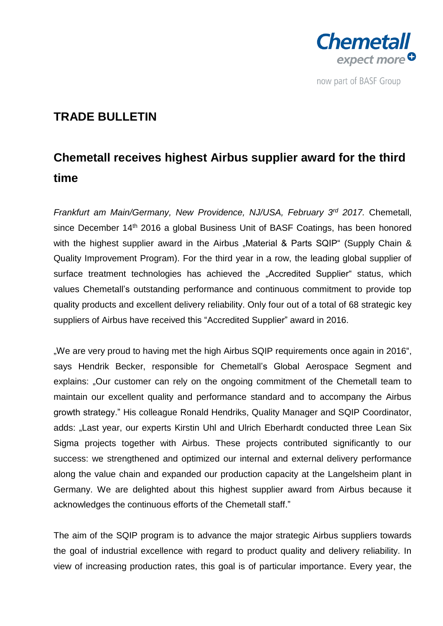

## **TRADE BULLETIN**

# **Chemetall receives highest Airbus supplier award for the third time**

*Frankfurt am Main/Germany, New Providence, NJ/USA, February 3<sup>rd</sup> 2017. Chemetall,* since December 14<sup>th</sup> 2016 a global Business Unit of BASF Coatings, has been honored with the highest supplier award in the Airbus "Material & Parts SQIP" (Supply Chain & Quality Improvement Program). For the third year in a row, the leading global supplier of surface treatment technologies has achieved the "Accredited Supplier" status, which values Chemetall's outstanding performance and continuous commitment to provide top quality products and excellent delivery reliability. Only four out of a total of 68 strategic key suppliers of Airbus have received this "Accredited Supplier" award in 2016.

"We are very proud to having met the high Airbus SQIP requirements once again in 2016", says Hendrik Becker, responsible for Chemetall's Global Aerospace Segment and explains: "Our customer can rely on the ongoing commitment of the Chemetall team to maintain our excellent quality and performance standard and to accompany the Airbus growth strategy." His colleague Ronald Hendriks, Quality Manager and SQIP Coordinator, adds: "Last year, our experts Kirstin Uhl and Ulrich Eberhardt conducted three Lean Six Sigma projects together with Airbus. These projects contributed significantly to our success: we strengthened and optimized our internal and external delivery performance along the value chain and expanded our production capacity at the Langelsheim plant in Germany. We are delighted about this highest supplier award from Airbus because it acknowledges the continuous efforts of the Chemetall staff."

The aim of the SQIP program is to advance the major strategic Airbus suppliers towards the goal of industrial excellence with regard to product quality and delivery reliability. In view of increasing production rates, this goal is of particular importance. Every year, the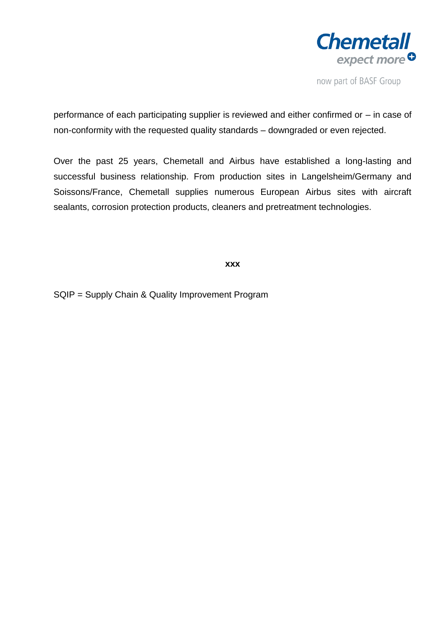

performance of each participating supplier is reviewed and either confirmed or – in case of non-conformity with the requested quality standards – downgraded or even rejected.

Over the past 25 years, Chemetall and Airbus have established a long-lasting and successful business relationship. From production sites in Langelsheim/Germany and Soissons/France, Chemetall supplies numerous European Airbus sites with aircraft sealants, corrosion protection products, cleaners and pretreatment technologies.

### **xxx**

SQIP = Supply Chain & Quality Improvement Program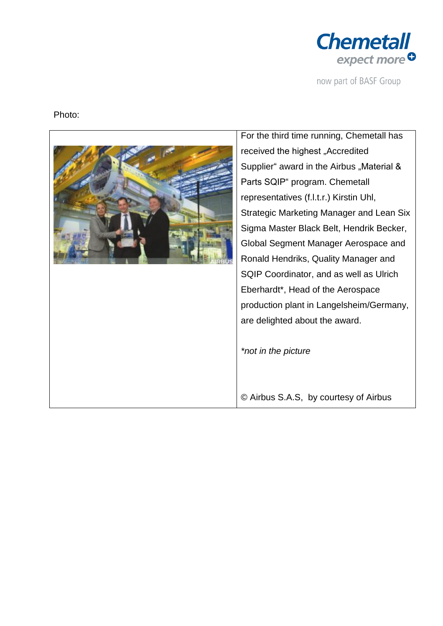

### Photo:



For the third time running, Chemetall has received the highest "Accredited Supplier" award in the Airbus "Material & Parts SQIP" program. Chemetall representatives (f.l.t.r.) Kirstin Uhl, Strategic Marketing Manager and Lean Six Sigma Master Black Belt, Hendrik Becker, Global Segment Manager Aerospace and Ronald Hendriks, Quality Manager and SQIP Coordinator, and as well as Ulrich Eberhardt\*, Head of the Aerospace production plant in Langelsheim/Germany, are delighted about the award.

*\*not in the picture*

© Airbus S.A.S, by courtesy of Airbus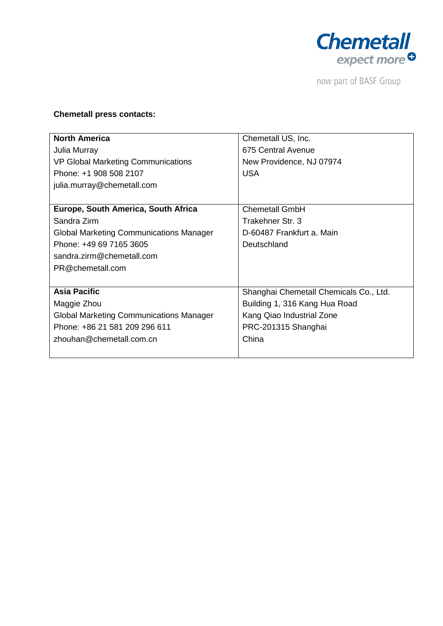

### **Chemetall press contacts:**

| <b>North America</b>                           | Chemetall US, Inc.                     |
|------------------------------------------------|----------------------------------------|
| Julia Murray                                   | 675 Central Avenue                     |
| <b>VP Global Marketing Communications</b>      | New Providence, NJ 07974               |
| Phone: +1 908 508 2107                         | <b>USA</b>                             |
| julia.murray@chemetall.com                     |                                        |
|                                                |                                        |
| Europe, South America, South Africa            | <b>Chemetall GmbH</b>                  |
| Sandra Zirm                                    | Trakehner Str. 3                       |
| <b>Global Marketing Communications Manager</b> | D-60487 Frankfurt a. Main              |
| Phone: +49 69 7165 3605                        | Deutschland                            |
| sandra.zirm@chemetall.com                      |                                        |
| PR@chemetall.com                               |                                        |
|                                                |                                        |
| <b>Asia Pacific</b>                            | Shanghai Chemetall Chemicals Co., Ltd. |
| Maggie Zhou                                    | Building 1, 316 Kang Hua Road          |
| <b>Global Marketing Communications Manager</b> | Kang Qiao Industrial Zone              |
| Phone: +86 21 581 209 296 611                  | PRC-201315 Shanghai                    |
| zhouhan@chemetall.com.cn                       | China                                  |
|                                                |                                        |